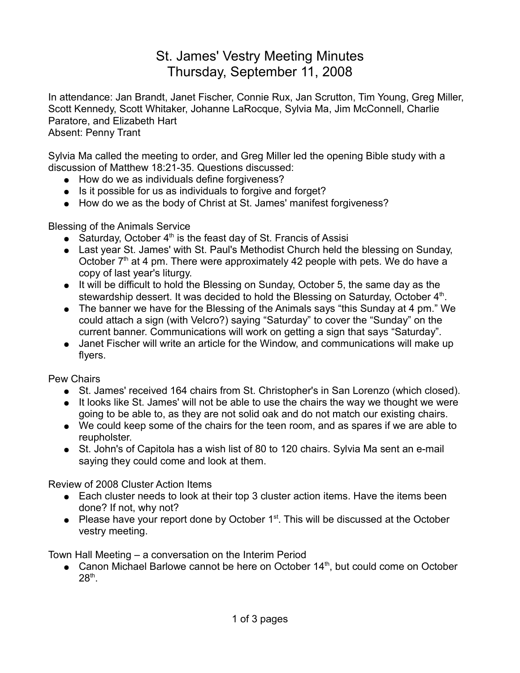## St. James' Vestry Meeting Minutes Thursday, September 11, 2008

In attendance: Jan Brandt, Janet Fischer, Connie Rux, Jan Scrutton, Tim Young, Greg Miller, Scott Kennedy, Scott Whitaker, Johanne LaRocque, Sylvia Ma, Jim McConnell, Charlie Paratore, and Elizabeth Hart Absent: Penny Trant

Sylvia Ma called the meeting to order, and Greg Miller led the opening Bible study with a discussion of Matthew 18:21-35. Questions discussed:

- How do we as individuals define forgiveness?
- Is it possible for us as individuals to forgive and forget?
- How do we as the body of Christ at St. James' manifest forgiveness?

Blessing of the Animals Service

- Saturday, October  $4<sup>th</sup>$  is the feast day of St. Francis of Assisi
- Last year St. James' with St. Paul's Methodist Church held the blessing on Sunday, October  $7<sup>th</sup>$  at 4 pm. There were approximately 42 people with pets. We do have a copy of last year's liturgy.
- It will be difficult to hold the Blessing on Sunday, October 5, the same day as the stewardship dessert. It was decided to hold the Blessing on Saturday, October 4<sup>th</sup>.
- The banner we have for the Blessing of the Animals says "this Sunday at 4 pm." We could attach a sign (with Velcro?) saying "Saturday" to cover the "Sunday" on the current banner. Communications will work on getting a sign that says "Saturday".
- Janet Fischer will write an article for the Window, and communications will make up flyers.

Pew Chairs

- St. James' received 164 chairs from St. Christopher's in San Lorenzo (which closed).
- It looks like St. James' will not be able to use the chairs the way we thought we were going to be able to, as they are not solid oak and do not match our existing chairs.
- We could keep some of the chairs for the teen room, and as spares if we are able to reupholster.
- St. John's of Capitola has a wish list of 80 to 120 chairs. Sylvia Ma sent an e-mail saying they could come and look at them.

Review of 2008 Cluster Action Items

- Each cluster needs to look at their top 3 cluster action items. Have the items been done? If not, why not?
- Please have your report done by October  $1<sup>st</sup>$ . This will be discussed at the October vestry meeting.

Town Hall Meeting – a conversation on the Interim Period

• Canon Michael Barlowe cannot be here on October  $14<sup>th</sup>$ , but could come on October  $28<sup>th</sup>$ .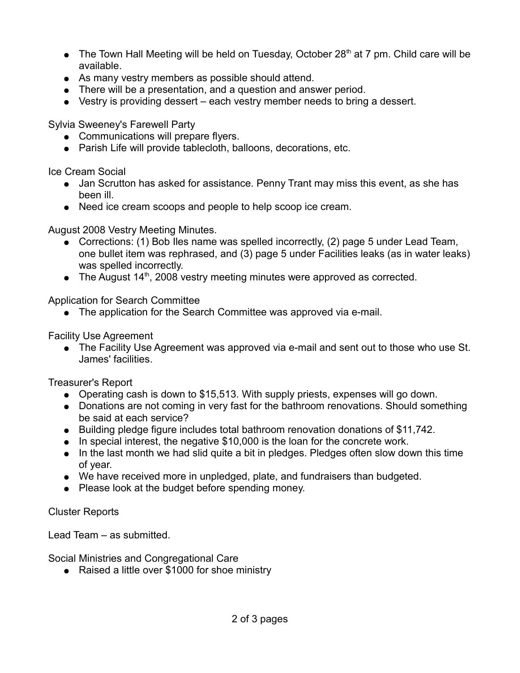- The Town Hall Meeting will be held on Tuesday, October 28<sup>th</sup> at 7 pm. Child care will be available.
- As many vestry members as possible should attend.
- There will be a presentation, and a question and answer period.
- Vestry is providing dessert each vestry member needs to bring a dessert.

Sylvia Sweeney's Farewell Party

- Communications will prepare flyers.
- Parish Life will provide tablecloth, balloons, decorations, etc.

Ice Cream Social

- Jan Scrutton has asked for assistance. Penny Trant may miss this event, as she has been ill.
- Need ice cream scoops and people to help scoop ice cream.

August 2008 Vestry Meeting Minutes.

- Corrections: (1) Bob Iles name was spelled incorrectly, (2) page 5 under Lead Team, one bullet item was rephrased, and (3) page 5 under Facilities leaks (as in water leaks) was spelled incorrectly.
- $\bullet$  The August 14<sup>th</sup>, 2008 vestry meeting minutes were approved as corrected.

Application for Search Committee

• The application for the Search Committee was approved via e-mail.

Facility Use Agreement

• The Facility Use Agreement was approved via e-mail and sent out to those who use St. James' facilities.

Treasurer's Report

- Operating cash is down to \$15,513. With supply priests, expenses will go down.
- Donations are not coming in very fast for the bathroom renovations. Should something be said at each service?
- Building pledge figure includes total bathroom renovation donations of \$11,742.
- In special interest, the negative \$10,000 is the loan for the concrete work.
- In the last month we had slid quite a bit in pledges. Pledges often slow down this time of year.
- We have received more in unpledged, plate, and fundraisers than budgeted.
- Please look at the budget before spending money.

Cluster Reports

Lead Team – as submitted.

Social Ministries and Congregational Care

● Raised a little over \$1000 for shoe ministry